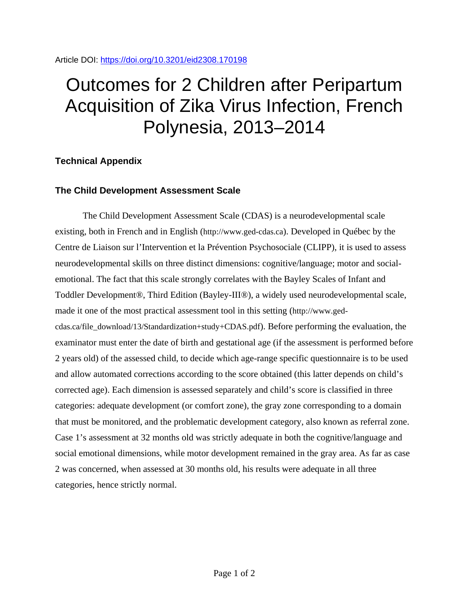## Outcomes for 2 Children after Peripartum Acquisition of Zika Virus Infection, French Polynesia, 2013–2014

## **Technical Appendix**

## **The Child Development Assessment Scale**

The Child Development Assessment Scale (CDAS) is a neurodevelopmental scale existing, both in French and in English (http://www.ged-cdas.ca). Developed in Québec by the Centre de Liaison sur l'Intervention et la Prévention Psychosociale (CLIPP), it is used to assess neurodevelopmental skills on three distinct dimensions: cognitive/language; motor and socialemotional. The fact that this scale strongly correlates with the Bayley Scales of Infant and Toddler Development®, Third Edition (Bayley-III®), a widely used neurodevelopmental scale, made it one of the most practical assessment tool in this setting (http://www.gedcdas.ca/file\_download/13/Standardization+study+CDAS.pdf). Before performing the evaluation, the examinator must enter the date of birth and gestational age (if the assessment is performed before 2 years old) of the assessed child, to decide which age-range specific questionnaire is to be used and allow automated corrections according to the score obtained (this latter depends on child's corrected age). Each dimension is assessed separately and child's score is classified in three categories: adequate development (or comfort zone), the gray zone corresponding to a domain that must be monitored, and the problematic development category, also known as referral zone. Case 1's assessment at 32 months old was strictly adequate in both the cognitive/language and social emotional dimensions, while motor development remained in the gray area. As far as case 2 was concerned, when assessed at 30 months old, his results were adequate in all three categories, hence strictly normal.